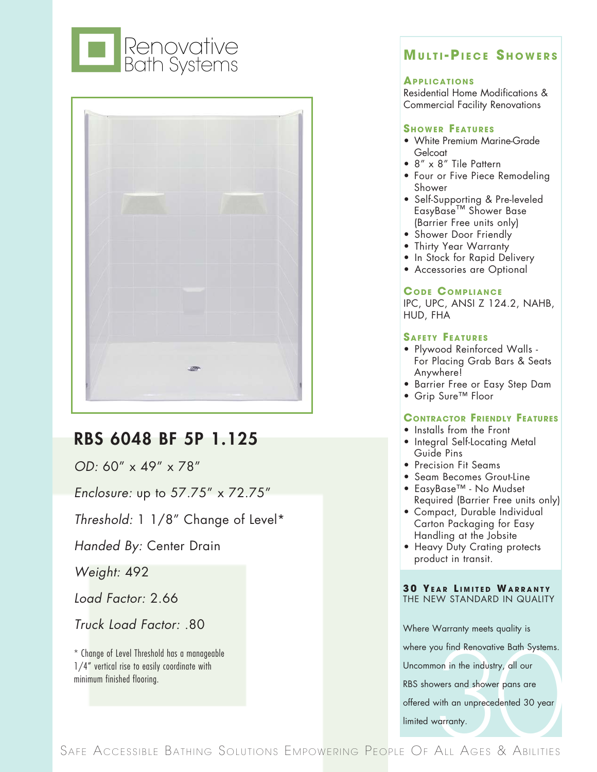



# RBS 6048 BF 5P 1.125

*OD:* 60" x 49" x 78"

*Enclosure:* up to 57.75" x 72.75"

*Threshold:* 1 1/8" Change of Level\*

*Handed By:* Center Drain

*Weight:* 492

*Load Factor:* 2.66

*Truck Load Factor:* .80

\* Change of Level Threshold has a manageable 1/4" vertical rise to easily coordinate with minimum finished flooring.

# **Mu l t i - Pi e c e S h o w e r <sup>s</sup>**

#### **Appl i c at i o ns**

Residential Home Modifications & Commercial Facility Renovations

#### **SHOWER FEATURES**

- White Premium Marine-Grade Gelcoat
- 8" x 8" Tile Pattern
- Four or Five Piece Remodeling Shower
- Self-Supporting & Pre-leveled EasyBase™ Shower Base (Barrier Free units only)
- Shower Door Friendly
- Thirty Year Warranty
- In Stock for Rapid Delivery
- Accessories are Optional

### **CODE COMPLIANCE**

IPC, UPC, ANSI Z 124.2, NAHB, HUD, FHA

#### **SAFETY FEATURES**

- Plywood Reinforced Walls For Placing Grab Bars & Seats Anywhere!
- Barrier Free or Easy Step Dam
- Grip Sure™ Floor

## **CONTRACTOR FRIENDLY FEATURES**

- Installs from the Front
- Integral Self-Locating Metal Guide Pins
- Precision Fit Seams
- Seam Becomes Grout-Line
- EasyBase™ No Mudset Required (Barrier Free units only)
- Compact, Durable Individual Carton Packaging for Easy Handling at the Jobsite
- Heavy Duty Crating protects product in transit.

#### **3 0 Ye <sup>a</sup> <sup>r</sup> L <sup>i</sup> <sup>m</sup> i t e d Wa r r <sup>a</sup> n t y** THE NEW STANDARD IN QUALITY

Where Warranty meets quality is

where you find Renovative Bath Systems.

Uncommon in the industry, all our

RBS showers and shower pans are

offered with an unprecedented 30 year

limited warranty.

30 X f the Accessive data of the Ba things and a space of the Ba the Basily coordinate with<br>30 year minimum finished flooring.<br>30 year limited warranty.<br>34 FE ACCESSIBLE BATHING SOLUTIONS EMPOWERING PEOPLE OF ALL AGES & A